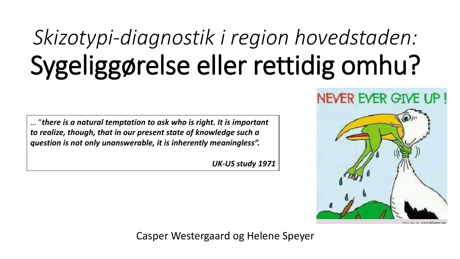## *Skizotypi-diagnostik i region hovedstaden:*  Sygeliggørelse eller rettidig omhu?

… "*there is a natural temptation to ask who is right. It is important to realize, though, that in our present state of knowledge such a question is not only unanswerable, it is inherently meaningless".* 

*UK-US study 1971*



Casper Westergaard og Helene Speyer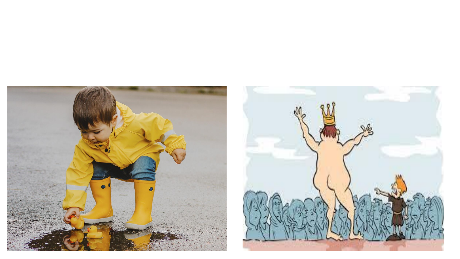

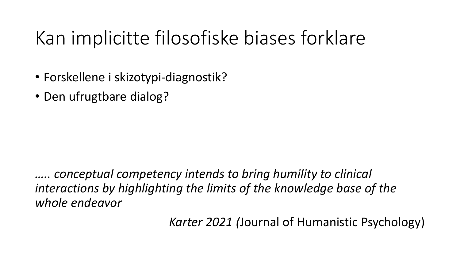### Kan implicitte filosofiske biases forklare

- Forskellene i skizotypi-diagnostik?
- Den ufrugtbare dialog?

*….. conceptual competency intends to bring humility to clinical interactions by highlighting the limits of the knowledge base of the whole endeavor*

*Karter 2021 (*Journal of Humanistic Psychology)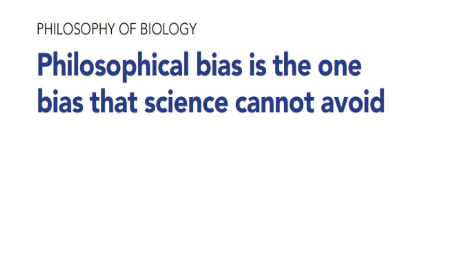PHILOSOPHY OF BIOLOGY

# **Philosophical bias is the one** bias that science cannot avoid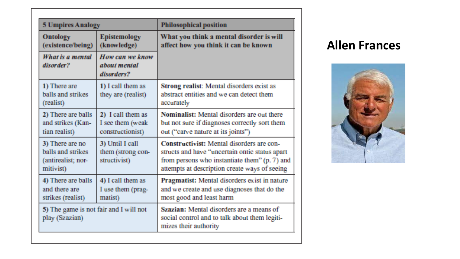| <b>5 Umpires Analogy</b>                                                |                                                           | <b>Philosophical position</b>                                                                                                                                                                 |  |
|-------------------------------------------------------------------------|-----------------------------------------------------------|-----------------------------------------------------------------------------------------------------------------------------------------------------------------------------------------------|--|
| Ontology<br>(existence/being)                                           | Epistemology<br>(knowledge)                               | What you think a mental disorder is will<br>affect how you think it can be known                                                                                                              |  |
| What is a mental<br>disorder?                                           | How can we know<br>about mental<br>disorders?             |                                                                                                                                                                                               |  |
| 1) There are<br>balls and strikes<br>(realist)                          | 1) I call them as<br>they are (realist)                   | Strong realist: Mental disorders exist as<br>abstract entities and we can detect them<br>accurately                                                                                           |  |
| 2) There are balls<br>and strikes (Kan-<br>tian realist)                | 2) I call them as<br>I see them (weak<br>constructionist) | Nominalist: Mental disorders are out there<br>but not sure if diagnoses correctly sort them<br>out ("carve nature at its joints")                                                             |  |
| 3) There are no<br>balls and strikes<br>(antirealist; nor-<br>mitivist) | 3) Until I call<br>them (strong con-<br>structivist)      | Constructivist: Mental disorders are con-<br>structs and have "uncertain ontic status apart<br>from persons who instantiate them" (p. 7) and<br>attempts at description create ways of seeing |  |
| 4) There are balls<br>and there are<br>strikes (realist)                | 4) I call them as<br>I use them (prag-<br>matist)         | Pragmatist: Mental disorders exist in nature<br>and we create and use diagnoses that do the<br>most good and least harm                                                                       |  |
| 5) The game is not fair and I will not<br>play (Szazian)                |                                                           | Szazian: Mental disorders are a means of<br>social control and to talk about them legiti-<br>mizes their authority                                                                            |  |

#### Allen **Allen Frances**

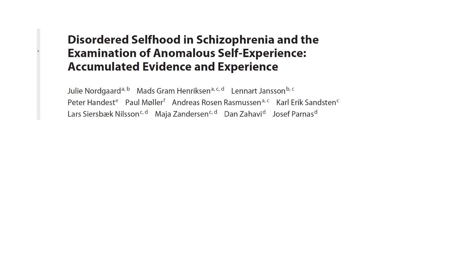#### Disordered Selfhood in Schizophrenia and the **Examination of Anomalous Self-Experience: Accumulated Evidence and Experience**

Julie Nordgaard<sup>a, b</sup> Mads Gram Henriksen<sup>a, c, d</sup> Lennart Jansson<sup>b, c</sup> Peter Handest<sup>e</sup> Paul Møller<sup>f</sup> Andreas Rosen Rasmussen<sup>a, c</sup> Karl Erik Sandsten<sup>c</sup> Lars Siersbæk Nilsson<sup>c, d</sup> Maja Zandersen<sup>c, d</sup> Dan Zahavi<sup>d</sup> Josef Parnas<sup>d</sup>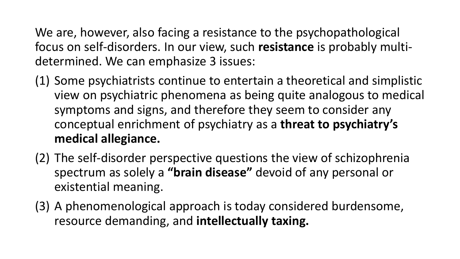We are, however, also facing a resistance to the psychopathological focus on self-disorders. In our view, such **resistance** is probably multidetermined. We can emphasize 3 issues:

- (1) Some psychiatrists continue to entertain a theoretical and simplistic view on psychiatric phenomena as being quite analogous to medical symptoms and signs, and therefore they seem to consider any conceptual enrichment of psychiatry as a **threat to psychiatry's medical allegiance.**
- (2) The self-disorder perspective questions the view of schizophrenia spectrum as solely a **"brain disease"** devoid of any personal or existential meaning.
- (3) A phenomenological approach is today considered burdensome, resource demanding, and **intellectually taxing.**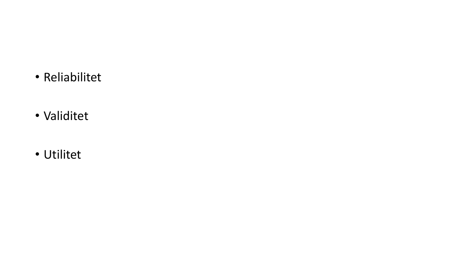- Reliabilitet
- Validitet
- Utilitet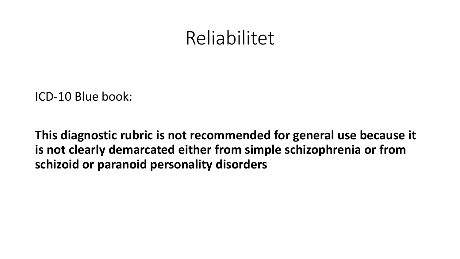#### Reliabilitet

ICD-10 Blue book:

**This diagnostic rubric is not recommended for general use because it is not clearly demarcated either from simple schizophrenia or from schizoid or paranoid personality disorders**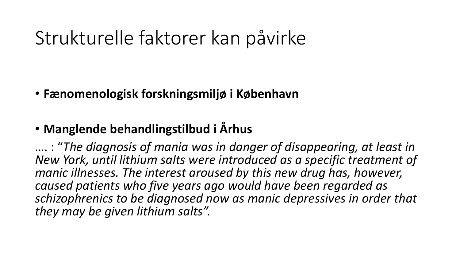#### Strukturelle faktorer kan påvirke

- **Fænomenologisk forskningsmiljø i København**
- **Manglende behandlingstilbud i Århus**

…. : "*The diagnosis of mania was in danger of disappearing, at least in New York, until lithium salts were introduced as a specific treatment of manic illnesses. The interest aroused by this new drug has, however, caused patients who five years ago would have been regarded as schizophrenics to be diagnosed now as manic depressives in order that they may be given lithium salts".*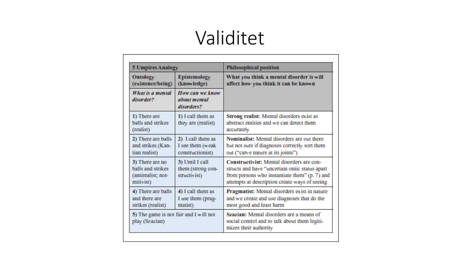### Validitet

| <b>5 Umpires Analogy</b>                                                |                                                           | <b>Philosophical position</b>                                                                                                                                                                 |
|-------------------------------------------------------------------------|-----------------------------------------------------------|-----------------------------------------------------------------------------------------------------------------------------------------------------------------------------------------------|
| Ontology<br>(existence/being)                                           | <b>Epistemology</b><br>(knowledge)                        | What you think a mental disorder is will<br>affect how you think it can be known                                                                                                              |
| What is a mental<br>disorder?                                           | How can we know<br>about mental<br>disorders?             |                                                                                                                                                                                               |
| 1) There are<br>balls and strikes<br>(realist)                          | 1) I call them as<br>they are (realist)                   | Strong realist: Mental disorders exist as<br>abstract entities and we can detect them<br>accurately                                                                                           |
| 2) There are balls<br>and strikes (Kan-<br>tian realist)                | 2) I call them as<br>I see them (weak<br>constructionist) | <b>Nominalist:</b> Mental disorders are out there<br>but not sure if diagnoses correctly sort them<br>out ("carve nature at its joints")                                                      |
| 3) There are no<br>balls and strikes<br>(antirealist; nor-<br>mitivist) | 3) Until I call<br>them (strong con-<br>structivist)      | Constructivist: Mental disorders are con-<br>structs and have "uncertain ontic status apart<br>from persons who instantiate them" (p. 7) and<br>attempts at description create ways of seeing |
| 4) There are balls<br>and there are<br>strikes (realist)                | 4) I call them as<br>I use them (prag-<br>matist)         | Pragmatist: Mental disorders exist in nature<br>and we create and use diagnoses that do the<br>most good and least harm                                                                       |
| 5) The game is not fair and I will not<br>play (Szazian)                |                                                           | Szazian: Mental disorders are a means of<br>social control and to talk about them legiti-<br>mizes their authority                                                                            |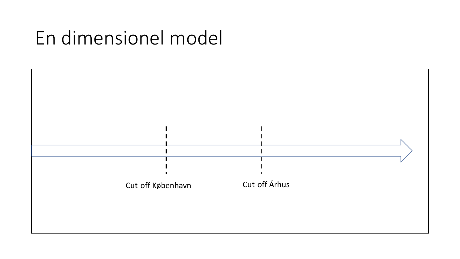#### En dimensionel model

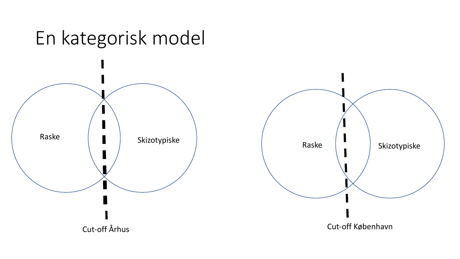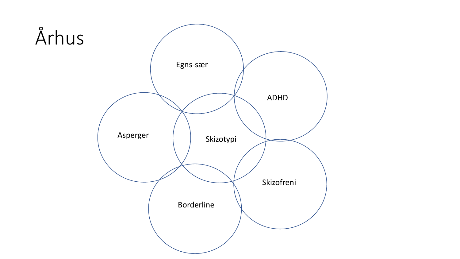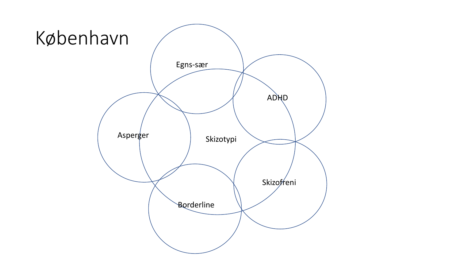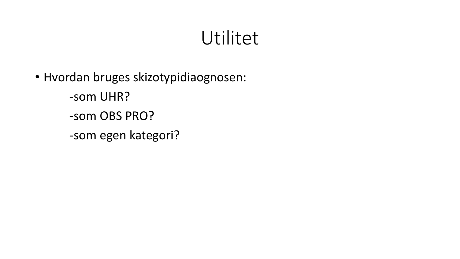#### Utilitet

• Hvordan bruges skizotypidiaognosen:

-som UHR? -som OBS PRO?

-som egen kategori?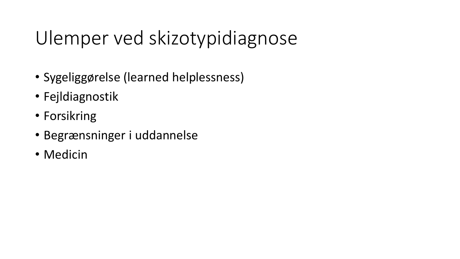## Ulemper ved skizotypidiagnose

- Sygeliggørelse (learned helplessness)
- Fejldiagnostik
- Forsikring
- Begrænsninger i uddannelse
- Medicin